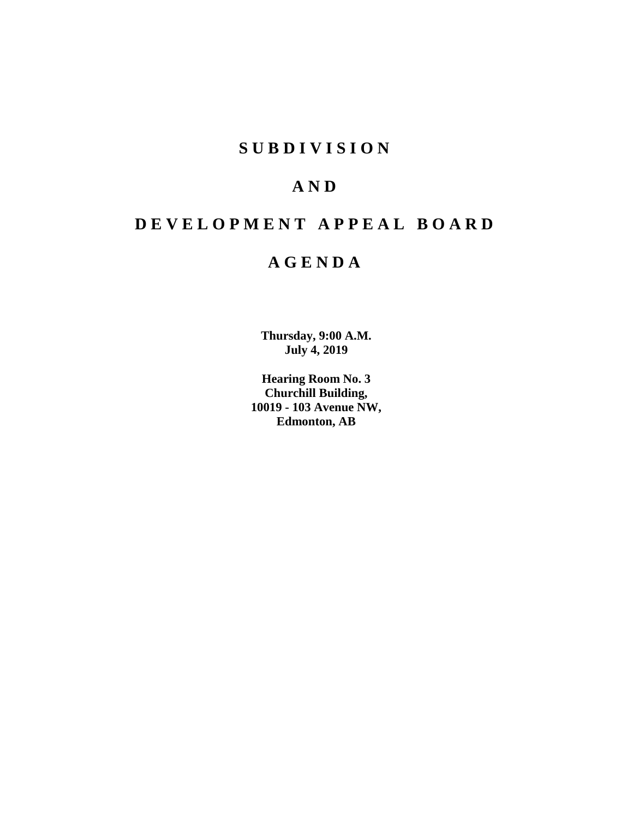# **S U B D I V I S I O N**

# **A N D**

# **D E V E L O P M E N T A P P E A L B O A R D**

# **A G E N D A**

**Thursday, 9:00 A.M. July 4, 2019**

**Hearing Room No. 3 Churchill Building, 10019 - 103 Avenue NW, Edmonton, AB**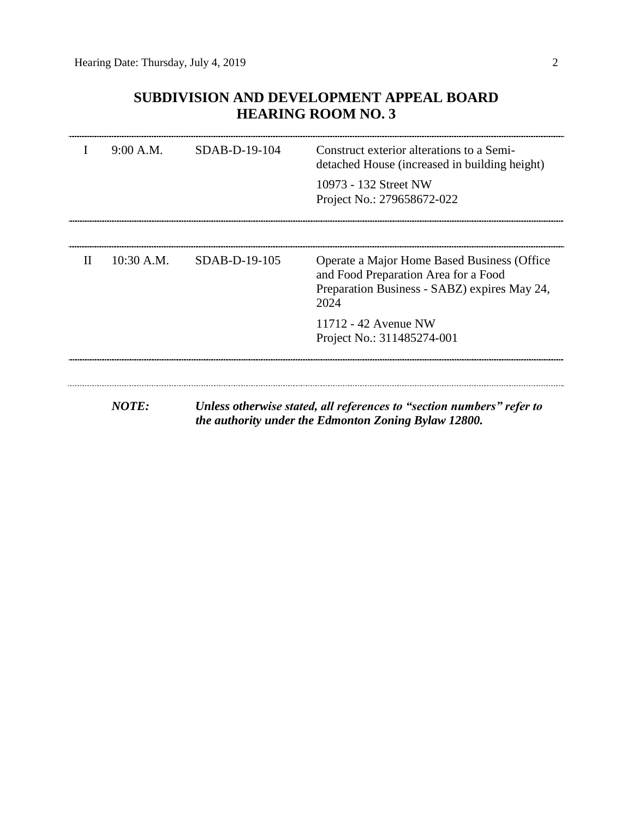# **SUBDIVISION AND DEVELOPMENT APPEAL BOARD HEARING ROOM NO. 3**

|              | 9:00 A.M.    | $SDAB-D-19-104$ | Construct exterior alterations to a Semi-<br>detached House (increased in building height)                                                  |
|--------------|--------------|-----------------|---------------------------------------------------------------------------------------------------------------------------------------------|
|              |              |                 | 10973 - 132 Street NW<br>Project No.: 279658672-022                                                                                         |
|              |              |                 |                                                                                                                                             |
| $\mathbf{H}$ | $10:30$ A.M. | $SDAB-D-19-105$ | Operate a Major Home Based Business (Office<br>and Food Preparation Area for a Food<br>Preparation Business - SABZ) expires May 24,<br>2024 |
|              |              |                 | 11712 - 42 Avenue NW<br>Project No.: 311485274-001                                                                                          |
|              |              |                 |                                                                                                                                             |
|              | <b>NOTE:</b> |                 | Unless otherwise stated, all references to "section numbers" refer to<br>the authority under the Edmonton Zoning Bylaw 12800.               |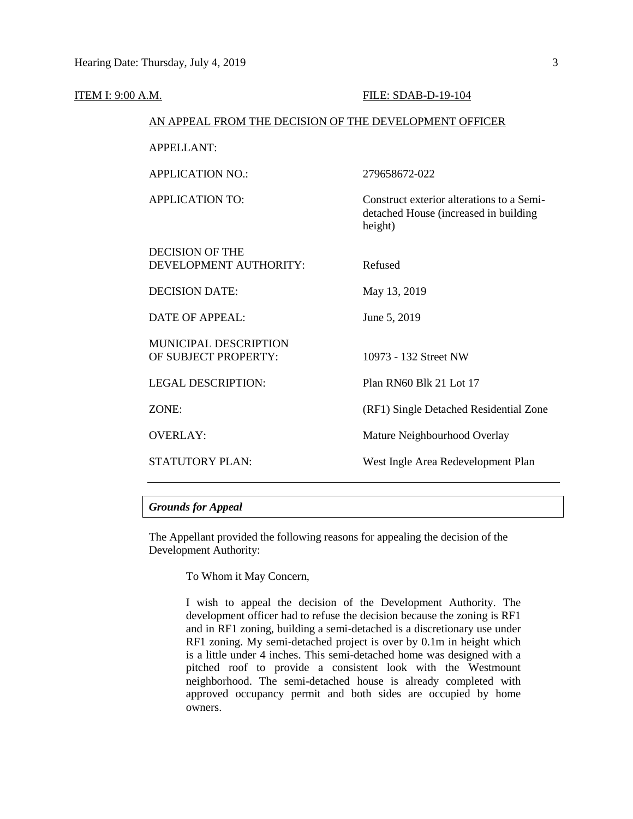| <b>ITEM I: 9:00 A.M.</b> |                                                        | FILE: SDAB-D-19-104                                                                           |
|--------------------------|--------------------------------------------------------|-----------------------------------------------------------------------------------------------|
|                          | AN APPEAL FROM THE DECISION OF THE DEVELOPMENT OFFICER |                                                                                               |
|                          | <b>APPELLANT:</b>                                      |                                                                                               |
|                          | <b>APPLICATION NO.:</b>                                | 279658672-022                                                                                 |
|                          | <b>APPLICATION TO:</b>                                 | Construct exterior alterations to a Semi-<br>detached House (increased in building<br>height) |
|                          | <b>DECISION OF THE</b><br>DEVELOPMENT AUTHORITY:       | Refused                                                                                       |
|                          | <b>DECISION DATE:</b>                                  | May 13, 2019                                                                                  |
|                          | <b>DATE OF APPEAL:</b>                                 | June 5, 2019                                                                                  |
|                          | <b>MUNICIPAL DESCRIPTION</b><br>OF SUBJECT PROPERTY:   | 10973 - 132 Street NW                                                                         |
|                          | <b>LEGAL DESCRIPTION:</b>                              | Plan RN60 Blk 21 Lot 17                                                                       |
|                          | ZONE:                                                  | (RF1) Single Detached Residential Zone                                                        |
|                          | <b>OVERLAY:</b>                                        | Mature Neighbourhood Overlay                                                                  |
|                          | <b>STATUTORY PLAN:</b>                                 | West Ingle Area Redevelopment Plan                                                            |
|                          |                                                        |                                                                                               |

### *Grounds for Appeal*

The Appellant provided the following reasons for appealing the decision of the Development Authority:

To Whom it May Concern,

I wish to appeal the decision of the Development Authority. The development officer had to refuse the decision because the zoning is RF1 and in RF1 zoning, building a semi-detached is a discretionary use under RF1 zoning. My semi-detached project is over by 0.1m in height which is a little under 4 inches. This semi-detached home was designed with a pitched roof to provide a consistent look with the Westmount neighborhood. The semi-detached house is already completed with approved occupancy permit and both sides are occupied by home owners.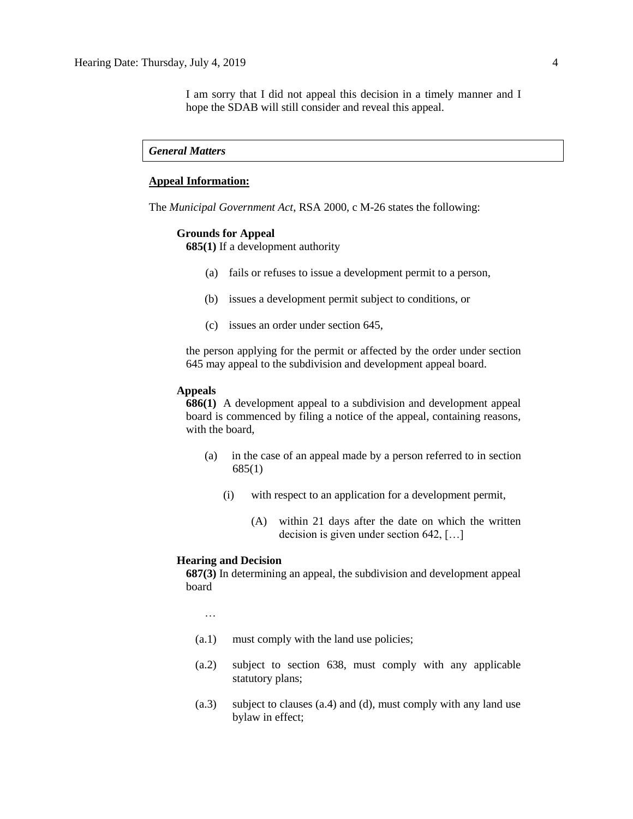I am sorry that I did not appeal this decision in a timely manner and I hope the SDAB will still consider and reveal this appeal.

### *General Matters*

## **Appeal Information:**

The *Municipal Government Act*, RSA 2000, c M-26 states the following:

#### **Grounds for Appeal**

**685(1)** If a development authority

- (a) fails or refuses to issue a development permit to a person,
- (b) issues a development permit subject to conditions, or
- (c) issues an order under section 645,

the person applying for the permit or affected by the order under section 645 may appeal to the subdivision and development appeal board.

#### **Appeals**

**686(1)** A development appeal to a subdivision and development appeal board is commenced by filing a notice of the appeal, containing reasons, with the board,

- (a) in the case of an appeal made by a person referred to in section 685(1)
	- (i) with respect to an application for a development permit,
		- (A) within 21 days after the date on which the written decision is given under section 642, […]

#### **Hearing and Decision**

**687(3)** In determining an appeal, the subdivision and development appeal board

…

- (a.1) must comply with the land use policies;
- (a.2) subject to section 638, must comply with any applicable statutory plans;
- (a.3) subject to clauses (a.4) and (d), must comply with any land use bylaw in effect;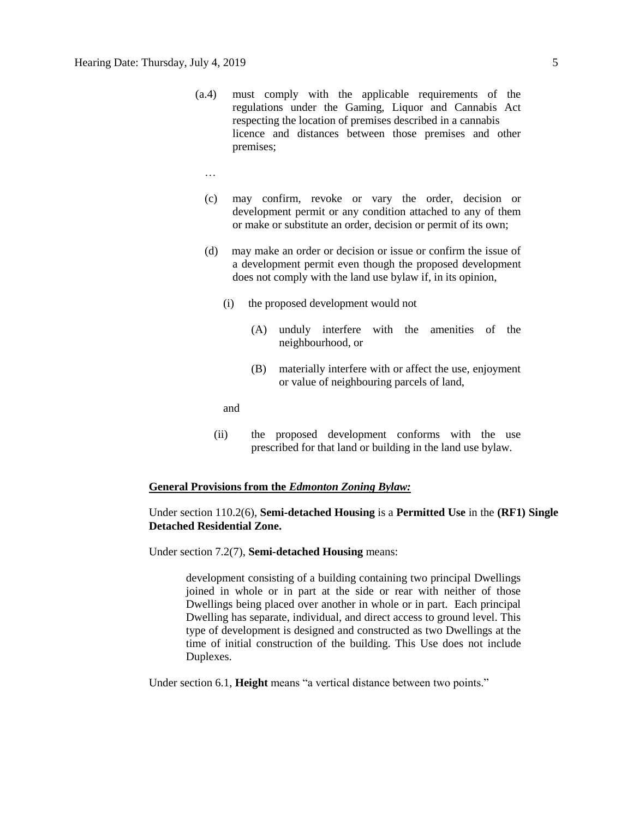- (a.4) must comply with the applicable requirements of the regulations under the Gaming, Liquor and Cannabis Act respecting the location of premises described in a cannabis licence and distances between those premises and other premises;
	- …
	- (c) may confirm, revoke or vary the order, decision or development permit or any condition attached to any of them or make or substitute an order, decision or permit of its own;
	- (d) may make an order or decision or issue or confirm the issue of a development permit even though the proposed development does not comply with the land use bylaw if, in its opinion,
		- (i) the proposed development would not
			- (A) unduly interfere with the amenities of the neighbourhood, or
			- (B) materially interfere with or affect the use, enjoyment or value of neighbouring parcels of land,

and

(ii) the proposed development conforms with the use prescribed for that land or building in the land use bylaw.

#### **General Provisions from the** *Edmonton Zoning Bylaw:*

### Under section 110.2(6), **Semi-detached Housing** is a **Permitted Use** in the **(RF1) Single Detached Residential Zone.**

Under section 7.2(7), **Semi-detached Housing** means:

development consisting of a building containing two principal Dwellings joined in whole or in part at the side or rear with neither of those Dwellings being placed over another in whole or in part. Each principal Dwelling has separate, individual, and direct access to ground level. This type of development is designed and constructed as two Dwellings at the time of initial construction of the building. This Use does not include Duplexes.

Under section 6.1, **Height** means "a vertical distance between two points."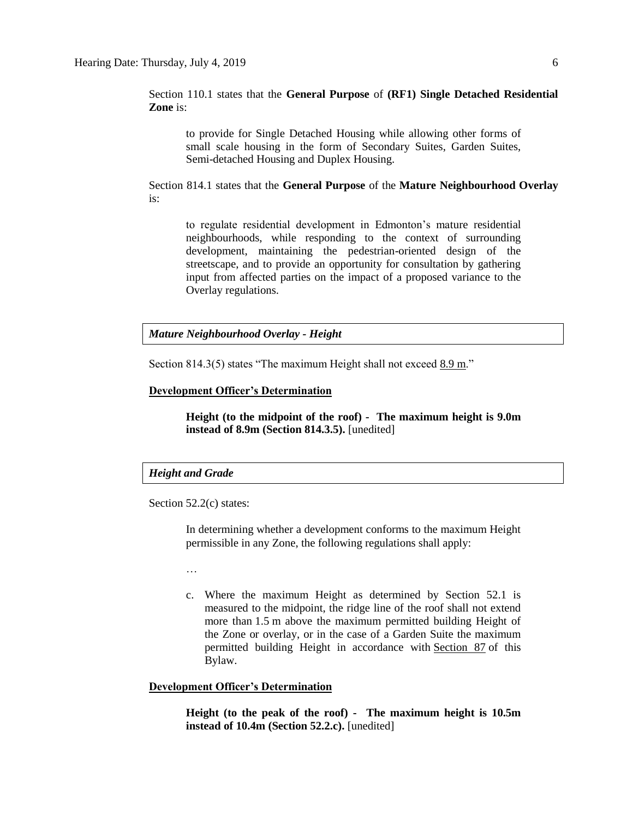Section 110.1 states that the **General Purpose** of **(RF1) Single Detached Residential Zone** is:

to provide for Single Detached Housing while allowing other forms of small scale housing in the form of Secondary Suites, Garden Suites, Semi-detached Housing and Duplex Housing.

Section 814.1 states that the **General Purpose** of the **Mature Neighbourhood Overlay** is:

to regulate residential development in Edmonton's mature residential neighbourhoods, while responding to the context of surrounding development, maintaining the pedestrian-oriented design of the streetscape, and to provide an opportunity for consultation by gathering input from affected parties on the impact of a proposed variance to the Overlay regulations.

#### *Mature Neighbourhood Overlay - Height*

Section 814.3(5) states "The maximum Height shall not exceed 8.9 m."

#### **Development Officer's Determination**

**Height (to the midpoint of the roof) - The maximum height is 9.0m instead of 8.9m (Section 814.3.5).** [unedited]

### *Height and Grade*

Section 52.2(c) states:

In determining whether a development conforms to the maximum Height permissible in any Zone, the following regulations shall apply:

…

c. Where the maximum Height as determined by Section 52.1 is measured to the midpoint, the ridge line of the roof shall not extend more than [1.5](javascript:void(0);) m above the maximum permitted building Height of the Zone or overlay, or in the case of a Garden Suite the maximum permitted building Height in accordance with [Section 87](http://webdocs.edmonton.ca/InfraPlan/zoningbylaw/ZoningBylaw/Part1/Special_Land/87_Garage_and_Garden_Suites.htm) of this Bylaw.

#### **Development Officer's Determination**

**Height (to the peak of the roof) - The maximum height is 10.5m instead of 10.4m (Section 52.2.c).** [unedited]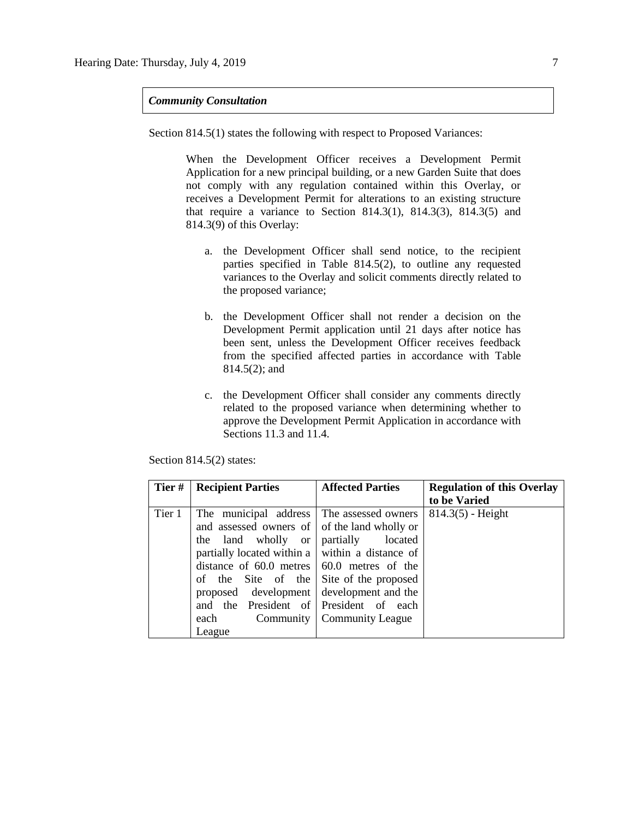#### *Community Consultation*

Section 814.5(1) states the following with respect to Proposed Variances:

When the Development Officer receives a Development Permit Application for a new principal building, or a new Garden Suite that does not comply with any regulation contained within this Overlay, or receives a Development Permit for alterations to an existing structure that require a variance to Section 814.3(1), 814.3(3), 814.3(5) and 814.3(9) of this Overlay:

- a. the Development Officer shall send notice, to the recipient parties specified in Table 814.5(2), to outline any requested variances to the Overlay and solicit comments directly related to the proposed variance;
- b. the Development Officer shall not render a decision on the Development Permit application until 21 days after notice has been sent, unless the Development Officer receives feedback from the specified affected parties in accordance with Table 814.5(2); and
- c. the Development Officer shall consider any comments directly related to the proposed variance when determining whether to approve the Development Permit Application in accordance with Sections 11.3 and 11.4.

| Tier#  | <b>Recipient Parties</b>                                                                                                                                                                                       | <b>Affected Parties</b>                             | <b>Regulation of this Overlay</b> |
|--------|----------------------------------------------------------------------------------------------------------------------------------------------------------------------------------------------------------------|-----------------------------------------------------|-----------------------------------|
|        |                                                                                                                                                                                                                |                                                     | to be Varied                      |
| Tier 1 | The municipal address<br>and assessed owners of of the land wholly or<br>the land wholly or<br>partially located within a $\vert$ within a distance of<br>distance of $60.0$ metres $\vert 60.0$ metres of the | The assessed owners<br>partially<br>located         | $814.3(5)$ - Height               |
|        | of the Site of the Site of the proposed<br>proposed development<br>and the President of President of each<br>each<br>League                                                                                    | development and the<br>Community   Community League |                                   |

Section 814.5(2) states: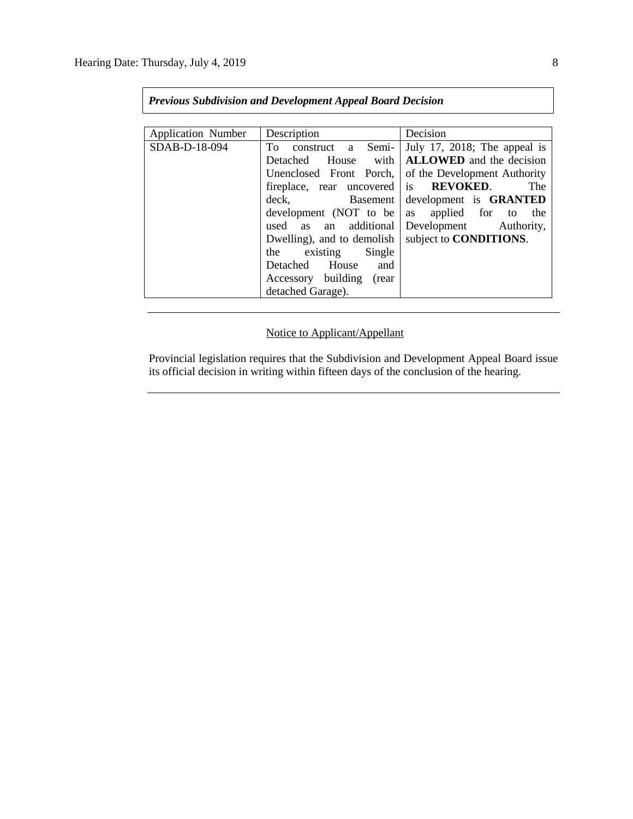| <b>Previous Subdivision and Development Appeal Board Decision</b> |                            |                                 |  |  |  |  |
|-------------------------------------------------------------------|----------------------------|---------------------------------|--|--|--|--|
|                                                                   |                            |                                 |  |  |  |  |
| <b>Application Number</b>                                         | Description                | Decision                        |  |  |  |  |
| SDAB-D-18-094                                                     | To construct a Semi-       | July 17, 2018; The appeal is    |  |  |  |  |
|                                                                   | Detached House with        | <b>ALLOWED</b> and the decision |  |  |  |  |
|                                                                   | Unenclosed Front Porch,    | of the Development Authority    |  |  |  |  |
|                                                                   | fireplace, rear uncovered  | is <b>REVOKED</b> .<br>The      |  |  |  |  |
|                                                                   | deck, Basement             | development is GRANTED          |  |  |  |  |
|                                                                   | development (NOT to be     | as applied for to<br>the        |  |  |  |  |
|                                                                   | used as an additional      | Development Authority,          |  |  |  |  |
|                                                                   | Dwelling), and to demolish | subject to <b>CONDITIONS</b> .  |  |  |  |  |
|                                                                   | the existing Single        |                                 |  |  |  |  |
|                                                                   | Detached House and         |                                 |  |  |  |  |
|                                                                   | Accessory building (rear   |                                 |  |  |  |  |
|                                                                   | detached Garage).          |                                 |  |  |  |  |

# Notice to Applicant/Appellant

Provincial legislation requires that the Subdivision and Development Appeal Board issue its official decision in writing within fifteen days of the conclusion of the hearing.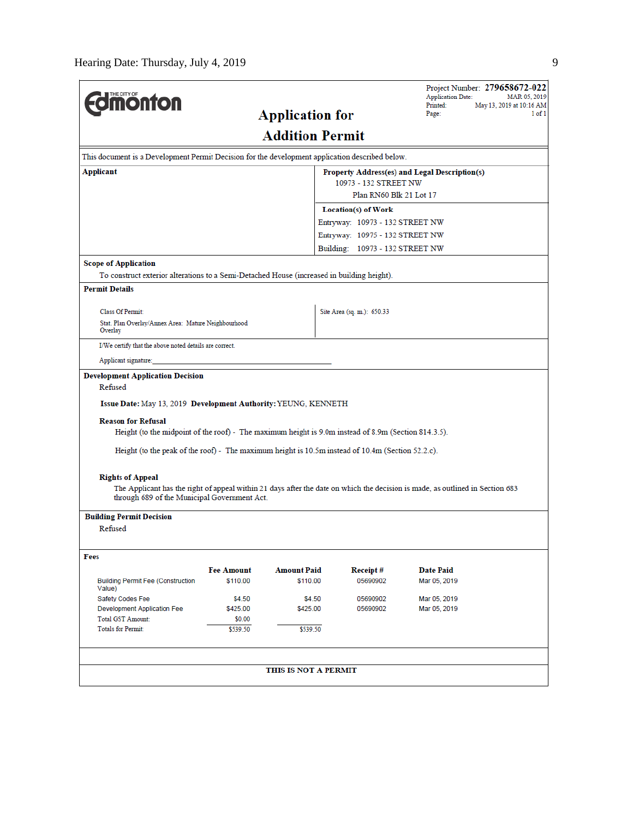| <b>monton</b>                                                                                                                     |                         |                        |                                 | Project Number: 279658672-022<br><b>Application Date:</b><br>MAR 05, 2019<br>May 13, 2019 at 10:16 AM<br>Printed:             |  |  |  |
|-----------------------------------------------------------------------------------------------------------------------------------|-------------------------|------------------------|---------------------------------|-------------------------------------------------------------------------------------------------------------------------------|--|--|--|
|                                                                                                                                   | Page:                   |                        |                                 |                                                                                                                               |  |  |  |
|                                                                                                                                   |                         | <b>Addition Permit</b> |                                 |                                                                                                                               |  |  |  |
| This document is a Development Permit Decision for the development application described below.                                   |                         |                        |                                 |                                                                                                                               |  |  |  |
| Applicant                                                                                                                         |                         |                        |                                 | Property Address(es) and Legal Description(s)                                                                                 |  |  |  |
|                                                                                                                                   |                         |                        | 10973 - 132 STREET NW           |                                                                                                                               |  |  |  |
|                                                                                                                                   | Plan RN60 Blk 21 Lot 17 |                        |                                 |                                                                                                                               |  |  |  |
|                                                                                                                                   |                         |                        | Location(s) of Work             |                                                                                                                               |  |  |  |
|                                                                                                                                   |                         |                        | Entryway: 10973 - 132 STREET NW |                                                                                                                               |  |  |  |
|                                                                                                                                   |                         |                        | Entryway: 10975 - 132 STREET NW |                                                                                                                               |  |  |  |
|                                                                                                                                   |                         |                        | Building: 10973 - 132 STREET NW |                                                                                                                               |  |  |  |
| <b>Scope of Application</b>                                                                                                       |                         |                        |                                 |                                                                                                                               |  |  |  |
| To construct exterior alterations to a Semi-Detached House (increased in building height).                                        |                         |                        |                                 |                                                                                                                               |  |  |  |
| <b>Permit Details</b>                                                                                                             |                         |                        |                                 |                                                                                                                               |  |  |  |
| <b>Class Of Permit:</b>                                                                                                           |                         |                        | Site Area (sq. m.): 650.33      |                                                                                                                               |  |  |  |
| Stat. Plan Overlay/Annex Area: Mature Neighbourhood<br>Overlay                                                                    |                         |                        |                                 |                                                                                                                               |  |  |  |
| I/We certify that the above noted details are correct.                                                                            |                         |                        |                                 |                                                                                                                               |  |  |  |
| Applicant signature:                                                                                                              |                         |                        |                                 |                                                                                                                               |  |  |  |
| <b>Development Application Decision</b><br>Refused<br>Issue Date: May 13, 2019 Development Authority: YEUNG, KENNETH              |                         |                        |                                 |                                                                                                                               |  |  |  |
| <b>Reason for Refusal</b><br>Height (to the midpoint of the roof) - The maximum height is 9.0m instead of 8.9m (Section 814.3.5). |                         |                        |                                 |                                                                                                                               |  |  |  |
| Height (to the peak of the roof) - The maximum height is $10.5m$ instead of $10.4m$ (Section $52.2c$ ).                           |                         |                        |                                 |                                                                                                                               |  |  |  |
| <b>Rights of Appeal</b>                                                                                                           |                         |                        |                                 |                                                                                                                               |  |  |  |
| through 689 of the Municipal Government Act.                                                                                      |                         |                        |                                 | The Applicant has the right of appeal within 21 days after the date on which the decision is made, as outlined in Section 683 |  |  |  |
| <b>Building Permit Decision</b>                                                                                                   |                         |                        |                                 |                                                                                                                               |  |  |  |
| Refused                                                                                                                           |                         |                        |                                 |                                                                                                                               |  |  |  |
| Fees                                                                                                                              |                         |                        |                                 |                                                                                                                               |  |  |  |
|                                                                                                                                   | <b>Fee Amount</b>       | <b>Amount Paid</b>     | Receipt#                        | <b>Date Paid</b>                                                                                                              |  |  |  |
| <b>Building Permit Fee (Construction</b><br>Value)                                                                                | \$110.00                | \$110.00               | 05690902                        | Mar 05, 2019                                                                                                                  |  |  |  |
| Safety Codes Fee                                                                                                                  | \$4.50                  | \$4.50                 | 05690902                        | Mar 05, 2019                                                                                                                  |  |  |  |
| Development Application Fee                                                                                                       | \$425.00                | \$425.00               | 05690902                        | Mar 05, 2019                                                                                                                  |  |  |  |
| <b>Total GST Amount:</b><br><b>Totals for Permit:</b>                                                                             | \$0.00                  |                        |                                 |                                                                                                                               |  |  |  |
|                                                                                                                                   | \$539.50                | \$539.50               |                                 |                                                                                                                               |  |  |  |
|                                                                                                                                   |                         |                        |                                 |                                                                                                                               |  |  |  |
|                                                                                                                                   |                         | THIS IS NOT A PERMIT   |                                 |                                                                                                                               |  |  |  |
|                                                                                                                                   |                         |                        |                                 |                                                                                                                               |  |  |  |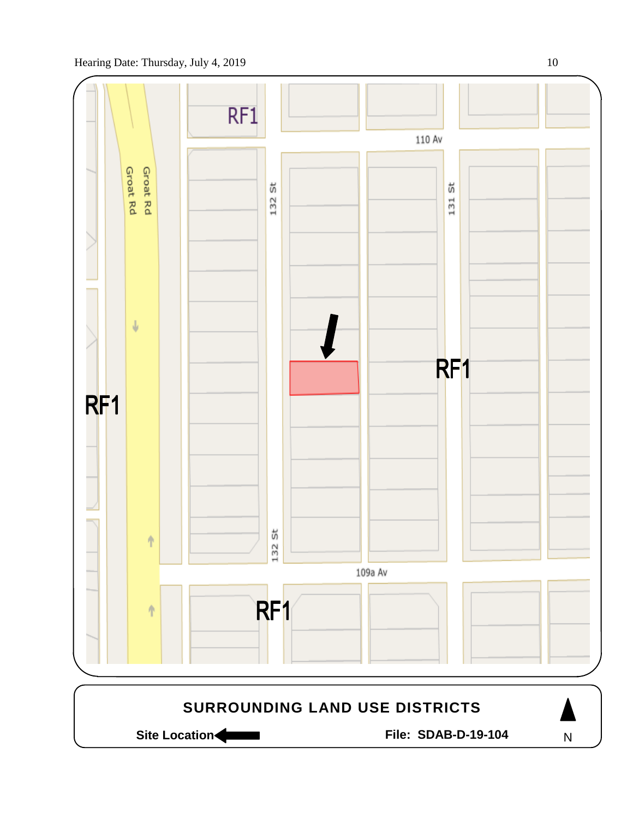

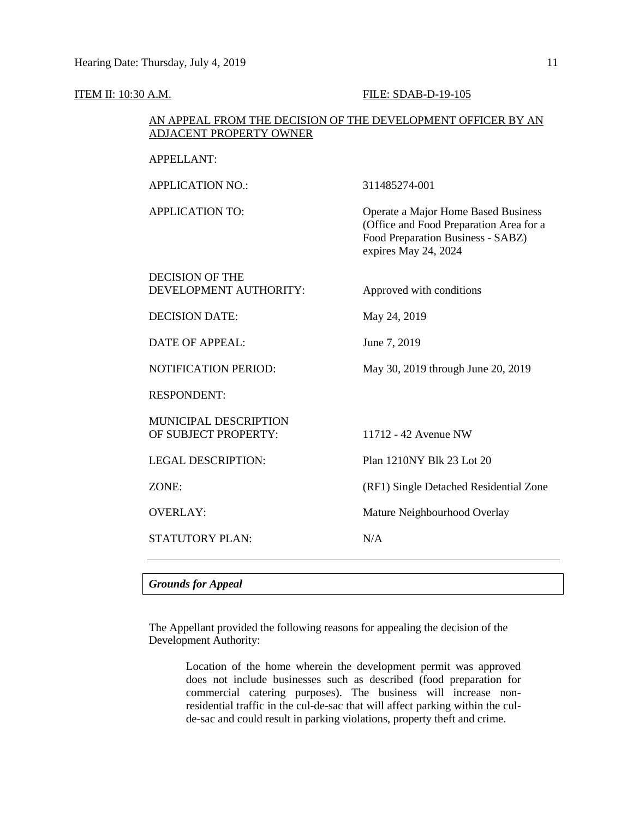### **ITEM II:** 10:30 A.M. **FILE:** SDAB-D-19-105

## AN APPEAL FROM THE DECISION OF THE DEVELOPMENT OFFICER BY AN ADJACENT PROPERTY OWNER

| <b>Grounds for Appeal</b>                            |                                                                                                                                             |
|------------------------------------------------------|---------------------------------------------------------------------------------------------------------------------------------------------|
| <b>STATUTORY PLAN:</b>                               | N/A                                                                                                                                         |
| <b>OVERLAY:</b>                                      | Mature Neighbourhood Overlay                                                                                                                |
| ZONE:                                                | (RF1) Single Detached Residential Zone                                                                                                      |
| <b>LEGAL DESCRIPTION:</b>                            | Plan 1210NY Blk 23 Lot 20                                                                                                                   |
| <b>MUNICIPAL DESCRIPTION</b><br>OF SUBJECT PROPERTY: | 11712 - 42 Avenue NW                                                                                                                        |
| <b>RESPONDENT:</b>                                   |                                                                                                                                             |
| <b>NOTIFICATION PERIOD:</b>                          | May 30, 2019 through June 20, 2019                                                                                                          |
| <b>DATE OF APPEAL:</b>                               | June 7, 2019                                                                                                                                |
| <b>DECISION DATE:</b>                                | May 24, 2019                                                                                                                                |
| <b>DECISION OF THE</b><br>DEVELOPMENT AUTHORITY:     | Approved with conditions                                                                                                                    |
| <b>APPLICATION TO:</b>                               | Operate a Major Home Based Business<br>(Office and Food Preparation Area for a<br>Food Preparation Business - SABZ)<br>expires May 24, 2024 |
| <b>APPLICATION NO.:</b>                              | 311485274-001                                                                                                                               |
| <b>APPELLANT:</b>                                    |                                                                                                                                             |

The Appellant provided the following reasons for appealing the decision of the

Development Authority:

Location of the home wherein the development permit was approved does not include businesses such as described (food preparation for commercial catering purposes). The business will increase nonresidential traffic in the cul-de-sac that will affect parking within the culde-sac and could result in parking violations, property theft and crime.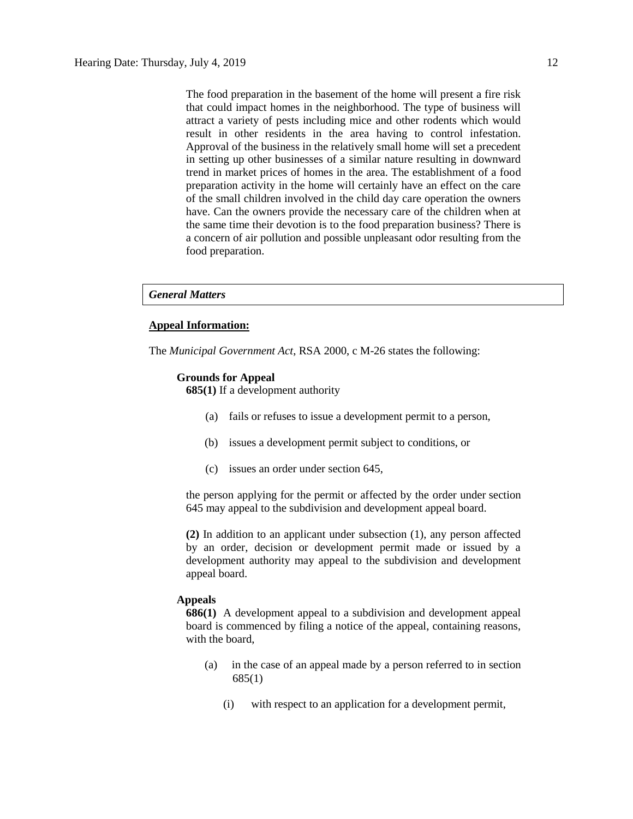The food preparation in the basement of the home will present a fire risk that could impact homes in the neighborhood. The type of business will attract a variety of pests including mice and other rodents which would result in other residents in the area having to control infestation. Approval of the business in the relatively small home will set a precedent in setting up other businesses of a similar nature resulting in downward trend in market prices of homes in the area. The establishment of a food preparation activity in the home will certainly have an effect on the care of the small children involved in the child day care operation the owners have. Can the owners provide the necessary care of the children when at the same time their devotion is to the food preparation business? There is a concern of air pollution and possible unpleasant odor resulting from the food preparation.

#### *General Matters*

### **Appeal Information:**

The *Municipal Government Act*, RSA 2000, c M-26 states the following:

#### **Grounds for Appeal**

**685(1)** If a development authority

- (a) fails or refuses to issue a development permit to a person,
- (b) issues a development permit subject to conditions, or
- (c) issues an order under section 645,

the person applying for the permit or affected by the order under section 645 may appeal to the subdivision and development appeal board.

**(2)** In addition to an applicant under subsection (1), any person affected by an order, decision or development permit made or issued by a development authority may appeal to the subdivision and development appeal board.

#### **Appeals**

**686(1)** A development appeal to a subdivision and development appeal board is commenced by filing a notice of the appeal, containing reasons, with the board,

- (a) in the case of an appeal made by a person referred to in section 685(1)
	- (i) with respect to an application for a development permit,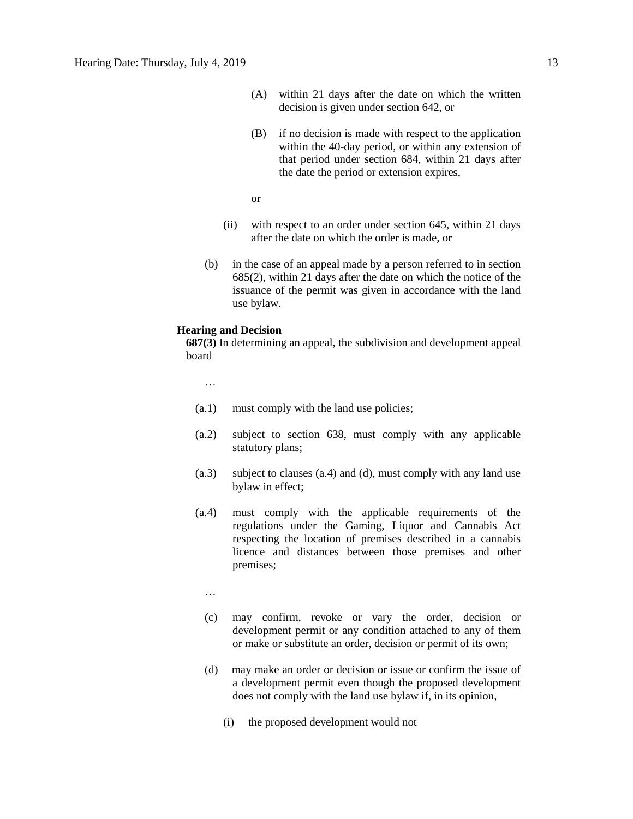- (A) within 21 days after the date on which the written decision is given under section 642, or
- (B) if no decision is made with respect to the application within the 40-day period, or within any extension of that period under section 684, within 21 days after the date the period or extension expires,
- or
- (ii) with respect to an order under section 645, within 21 days after the date on which the order is made, or
- (b) in the case of an appeal made by a person referred to in section 685(2), within 21 days after the date on which the notice of the issuance of the permit was given in accordance with the land use bylaw.

### **Hearing and Decision**

**687(3)** In determining an appeal, the subdivision and development appeal board

…

- (a.1) must comply with the land use policies;
- (a.2) subject to section 638, must comply with any applicable statutory plans;
- (a.3) subject to clauses (a.4) and (d), must comply with any land use bylaw in effect;
- (a.4) must comply with the applicable requirements of the regulations under the Gaming, Liquor and Cannabis Act respecting the location of premises described in a cannabis licence and distances between those premises and other premises;
	- …
	- (c) may confirm, revoke or vary the order, decision or development permit or any condition attached to any of them or make or substitute an order, decision or permit of its own;
	- (d) may make an order or decision or issue or confirm the issue of a development permit even though the proposed development does not comply with the land use bylaw if, in its opinion,
		- (i) the proposed development would not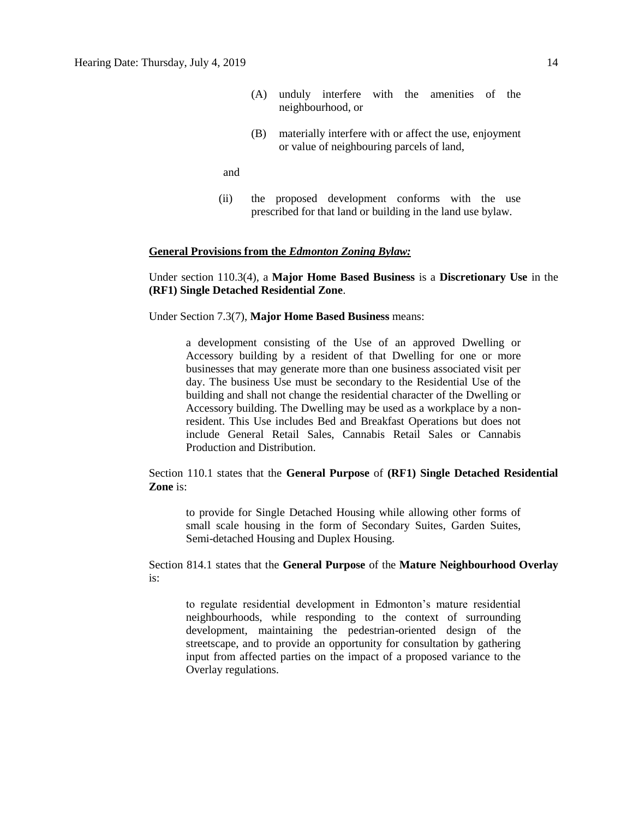- (A) unduly interfere with the amenities of the neighbourhood, or
- (B) materially interfere with or affect the use, enjoyment or value of neighbouring parcels of land,

and

(ii) the proposed development conforms with the use prescribed for that land or building in the land use bylaw.

#### **General Provisions from the** *Edmonton Zoning Bylaw:*

Under section 110.3(4), a **Major Home Based Business** is a **Discretionary Use** in the **(RF1) Single Detached Residential Zone**.

Under Section 7.3(7), **Major Home Based Business** means:

a development consisting of the Use of an approved Dwelling or Accessory building by a resident of that Dwelling for one or more businesses that may generate more than one business associated visit per day. The business Use must be secondary to the Residential Use of the building and shall not change the residential character of the Dwelling or Accessory building. The Dwelling may be used as a workplace by a nonresident. This Use includes Bed and Breakfast Operations but does not include General Retail Sales, Cannabis Retail Sales or Cannabis Production and Distribution.

Section 110.1 states that the **General Purpose** of **(RF1) Single Detached Residential Zone** is:

to provide for Single Detached Housing while allowing other forms of small scale housing in the form of Secondary Suites, Garden Suites, Semi-detached Housing and Duplex Housing.

Section 814.1 states that the **General Purpose** of the **Mature Neighbourhood Overlay** is:

to regulate residential development in Edmonton's mature residential neighbourhoods, while responding to the context of surrounding development, maintaining the pedestrian-oriented design of the streetscape, and to provide an opportunity for consultation by gathering input from affected parties on the impact of a proposed variance to the Overlay regulations.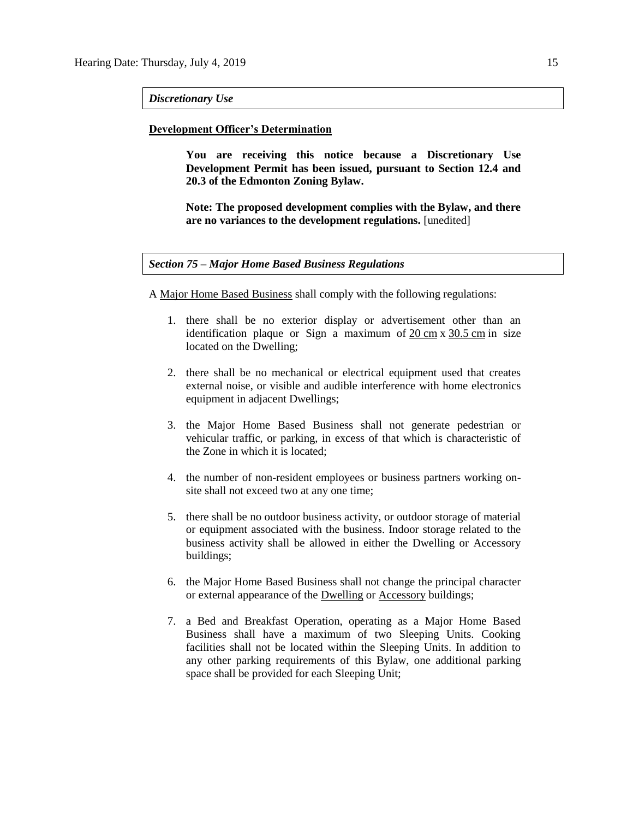#### *Discretionary Use*

#### **Development Officer's Determination**

**You are receiving this notice because a Discretionary Use Development Permit has been issued, pursuant to Section 12.4 and 20.3 of the Edmonton Zoning Bylaw.** 

**Note: The proposed development complies with the Bylaw, and there are no variances to the development regulations.** [unedited]

### *Section 75 – Major Home Based Business Regulations*

A [Major Home Based Business](javascript:void(0);) shall comply with the following regulations:

- 1. there shall be no exterior display or advertisement other than an identification plaque or Sign a maximum of 20 [cm](javascript:void(0);) x [30.5](javascript:void(0);) cm in size located on the Dwelling;
- 2. there shall be no mechanical or electrical equipment used that creates external noise, or visible and audible interference with home electronics equipment in adjacent Dwellings;
- 3. the Major Home Based Business shall not generate pedestrian or vehicular traffic, or parking, in excess of that which is characteristic of the Zone in which it is located;
- 4. the number of non-resident employees or business partners working onsite shall not exceed two at any one time;
- 5. there shall be no outdoor business activity, or outdoor storage of material or equipment associated with the business. Indoor storage related to the business activity shall be allowed in either the Dwelling or Accessory buildings;
- 6. the Major Home Based Business shall not change the principal character or external appearance of the [Dwelling](javascript:void(0);) or [Accessory](javascript:void(0);) buildings;
- 7. a Bed and Breakfast Operation, operating as a Major Home Based Business shall have a maximum of two Sleeping Units. Cooking facilities shall not be located within the Sleeping Units. In addition to any other parking requirements of this Bylaw, one additional parking space shall be provided for each Sleeping Unit;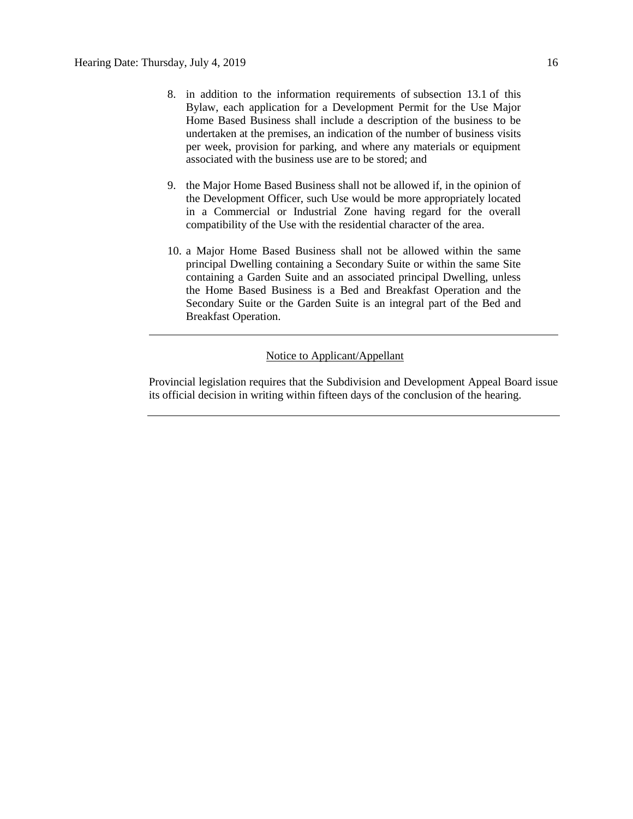- 8. in addition to the information requirements of [subsection 13.1](https://webdocs.edmonton.ca/InfraPlan/zoningbylaw/ZoningBylaw/Part1/Administrative/13__Development_Permit_Application.htm) of this Bylaw, each application for a Development Permit for the Use Major Home Based Business shall include a description of the business to be undertaken at the premises, an indication of the number of business visits per week, provision for parking, and where any materials or equipment associated with the business use are to be stored; and
- 9. the [Major Home Based Business](javascript:void(0);) shall not be allowed if, in the opinion of the Development Officer, such Use would be more appropriately located in a Commercial or Industrial Zone having regard for the overall compatibility of the Use with the residential character of the area.
- 10. a Major Home Based Business shall not be allowed within the same principal Dwelling containing a Secondary Suite or within the same Site containing a Garden Suite and an associated principal Dwelling, unless the Home Based Business is a Bed and Breakfast Operation and the Secondary Suite or the Garden Suite is an integral part of the Bed and Breakfast Operation.

# Notice to Applicant/Appellant

Provincial legislation requires that the Subdivision and Development Appeal Board issue its official decision in writing within fifteen days of the conclusion of the hearing.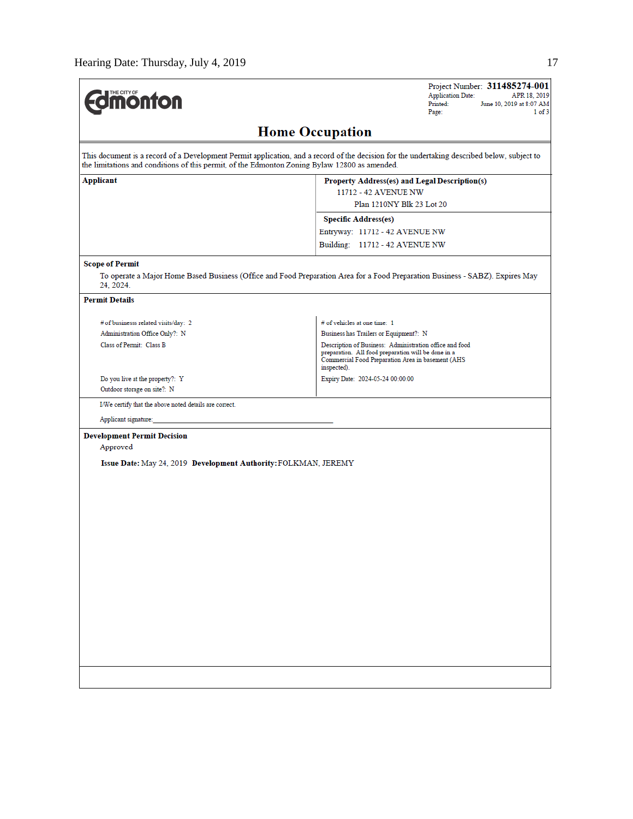$\overline{a}$ 

| <b>Jmonton</b>                                                                                | Project Number: 311485274-001<br><b>Application Date:</b><br>APR 18, 2019<br>Printed:<br>June 10, 2019 at 8:07 AM<br>1 of 3<br>Page:                                               |
|-----------------------------------------------------------------------------------------------|------------------------------------------------------------------------------------------------------------------------------------------------------------------------------------|
|                                                                                               | <b>Home Occupation</b>                                                                                                                                                             |
| the limitations and conditions of this permit, of the Edmonton Zoning Bylaw 12800 as amended. | This document is a record of a Development Permit application, and a record of the decision for the undertaking described below, subject to                                        |
| Applicant                                                                                     | Property Address(es) and Legal Description(s)<br>11712 - 42 AVENUE NW                                                                                                              |
|                                                                                               | Plan 1210NY Blk 23 Lot 20                                                                                                                                                          |
|                                                                                               | <b>Specific Address(es)</b>                                                                                                                                                        |
|                                                                                               | Entryway: 11712 - 42 AVENUE NW                                                                                                                                                     |
|                                                                                               | Building: 11712 - 42 AVENUE NW                                                                                                                                                     |
| <b>Scope of Permit</b>                                                                        |                                                                                                                                                                                    |
| 24, 2024.                                                                                     | To operate a Major Home Based Business (Office and Food Preparation Area for a Food Preparation Business - SABZ). Expires May                                                      |
| <b>Permit Details</b>                                                                         |                                                                                                                                                                                    |
| # of businesss related visits/day: 2                                                          | # of vehicles at one time: 1                                                                                                                                                       |
| Administration Office Only?: N                                                                | Business has Trailers or Equipment?: N                                                                                                                                             |
| Class of Permit: Class B                                                                      | Description of Business: Administration office and food<br>preparation. All food preparation will be done in a<br>Commercial Food Preparation Area in basement (AHS<br>inspected). |
| Do you live at the property?: Y<br>Outdoor storage on site?: N                                | Expiry Date: 2024-05-24 00:00:00                                                                                                                                                   |
| I/We certify that the above noted details are correct.                                        |                                                                                                                                                                                    |
| Applicant signature:                                                                          |                                                                                                                                                                                    |
| <b>Development Permit Decision</b><br>Approved                                                |                                                                                                                                                                                    |
| Issue Date: May 24, 2019 Development Authority: FOLKMAN, JEREMY                               |                                                                                                                                                                                    |
|                                                                                               |                                                                                                                                                                                    |
|                                                                                               |                                                                                                                                                                                    |
|                                                                                               |                                                                                                                                                                                    |
|                                                                                               |                                                                                                                                                                                    |
|                                                                                               |                                                                                                                                                                                    |
|                                                                                               |                                                                                                                                                                                    |
|                                                                                               |                                                                                                                                                                                    |
|                                                                                               |                                                                                                                                                                                    |
|                                                                                               |                                                                                                                                                                                    |
|                                                                                               |                                                                                                                                                                                    |
|                                                                                               |                                                                                                                                                                                    |
|                                                                                               |                                                                                                                                                                                    |
|                                                                                               |                                                                                                                                                                                    |
|                                                                                               |                                                                                                                                                                                    |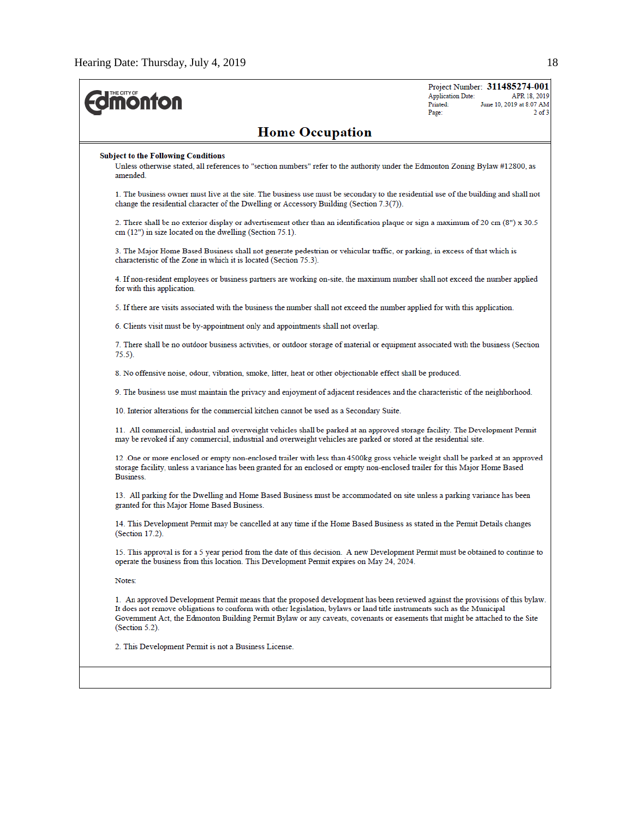| <b><i><u><b>MONTON</b></u></i></b>                                                                                                                                                                                                                                                                                                                                                                             | <b>Application Date:</b><br>Printed:<br>Page: | Project Number: 311485274-001<br>APR 18, 2019<br>June 10, 2019 at 8:07 AM<br>$2$ of $3$ |  |  |  |  |  |
|----------------------------------------------------------------------------------------------------------------------------------------------------------------------------------------------------------------------------------------------------------------------------------------------------------------------------------------------------------------------------------------------------------------|-----------------------------------------------|-----------------------------------------------------------------------------------------|--|--|--|--|--|
| <b>Home Occupation</b>                                                                                                                                                                                                                                                                                                                                                                                         |                                               |                                                                                         |  |  |  |  |  |
| <b>Subject to the Following Conditions</b><br>Unless otherwise stated, all references to "section numbers" refer to the authority under the Edmonton Zoning Bylaw #12800, as<br>amended.                                                                                                                                                                                                                       |                                               |                                                                                         |  |  |  |  |  |
| 1. The business owner must live at the site. The business use must be secondary to the residential use of the building and shall not<br>change the residential character of the Dwelling or Accessory Building (Section 7.3(7)).                                                                                                                                                                               |                                               |                                                                                         |  |  |  |  |  |
| 2. There shall be no exterior display or advertisement other than an identification plaque or sign a maximum of 20 cm (8") x 30.5<br>$cm (12")$ in size located on the dwelling (Section 75.1).                                                                                                                                                                                                                |                                               |                                                                                         |  |  |  |  |  |
| 3. The Major Home Based Business shall not generate pedestrian or vehicular traffic, or parking, in excess of that which is<br>characteristic of the Zone in which it is located (Section 75.3).                                                                                                                                                                                                               |                                               |                                                                                         |  |  |  |  |  |
| 4. If non-resident employees or business partners are working on-site, the maximum number shall not exceed the number applied<br>for with this application.                                                                                                                                                                                                                                                    |                                               |                                                                                         |  |  |  |  |  |
| 5. If there are visits associated with the business the number shall not exceed the number applied for with this application.                                                                                                                                                                                                                                                                                  |                                               |                                                                                         |  |  |  |  |  |
| 6. Clients visit must be by-appointment only and appointments shall not overlap.                                                                                                                                                                                                                                                                                                                               |                                               |                                                                                         |  |  |  |  |  |
| 7. There shall be no outdoor business activities, or outdoor storage of material or equipment associated with the business (Section<br>$75.5$ ).                                                                                                                                                                                                                                                               |                                               |                                                                                         |  |  |  |  |  |
| 8. No offensive noise, odour, vibration, smoke, litter, heat or other objectionable effect shall be produced.                                                                                                                                                                                                                                                                                                  |                                               |                                                                                         |  |  |  |  |  |
| 9. The business use must maintain the privacy and enjoyment of adjacent residences and the characteristic of the neighborhood.                                                                                                                                                                                                                                                                                 |                                               |                                                                                         |  |  |  |  |  |
| 10. Interior alterations for the commercial kitchen cannot be used as a Secondary Suite.                                                                                                                                                                                                                                                                                                                       |                                               |                                                                                         |  |  |  |  |  |
| 11. All commercial, industrial and overweight vehicles shall be parked at an approved storage facility. The Development Permit<br>may be revoked if any commercial, industrial and overweight vehicles are parked or stored at the residential site.                                                                                                                                                           |                                               |                                                                                         |  |  |  |  |  |
| 12 One or more enclosed or empty non-enclosed trailer with less than 4500kg gross vehicle weight shall be parked at an approved<br>storage facility, unless a variance has been granted for an enclosed or empty non-enclosed trailer for this Major Home Based<br>Business.                                                                                                                                   |                                               |                                                                                         |  |  |  |  |  |
| 13. All parking for the Dwelling and Home Based Business must be accommodated on site unless a parking variance has been<br>granted for this Major Home Based Business.                                                                                                                                                                                                                                        |                                               |                                                                                         |  |  |  |  |  |
| 14. This Development Permit may be cancelled at any time if the Home Based Business as stated in the Permit Details changes<br>(Section 17.2).                                                                                                                                                                                                                                                                 |                                               |                                                                                         |  |  |  |  |  |
| 15. This approval is for a 5 year period from the date of this decision. A new Development Permit must be obtained to continue to<br>operate the business from this location. This Development Permit expires on May 24, 2024.                                                                                                                                                                                 |                                               |                                                                                         |  |  |  |  |  |
| Notes:                                                                                                                                                                                                                                                                                                                                                                                                         |                                               |                                                                                         |  |  |  |  |  |
| 1. An approved Development Permit means that the proposed development has been reviewed against the provisions of this bylaw.<br>It does not remove obligations to conform with other legislation, bylaws or land title instruments such as the Municipal<br>Government Act, the Edmonton Building Permit Bylaw or any caveats, covenants or easements that might be attached to the Site<br>$(Section 5.2)$ . |                                               |                                                                                         |  |  |  |  |  |
| 2. This Development Permit is not a Business License.                                                                                                                                                                                                                                                                                                                                                          |                                               |                                                                                         |  |  |  |  |  |
|                                                                                                                                                                                                                                                                                                                                                                                                                |                                               |                                                                                         |  |  |  |  |  |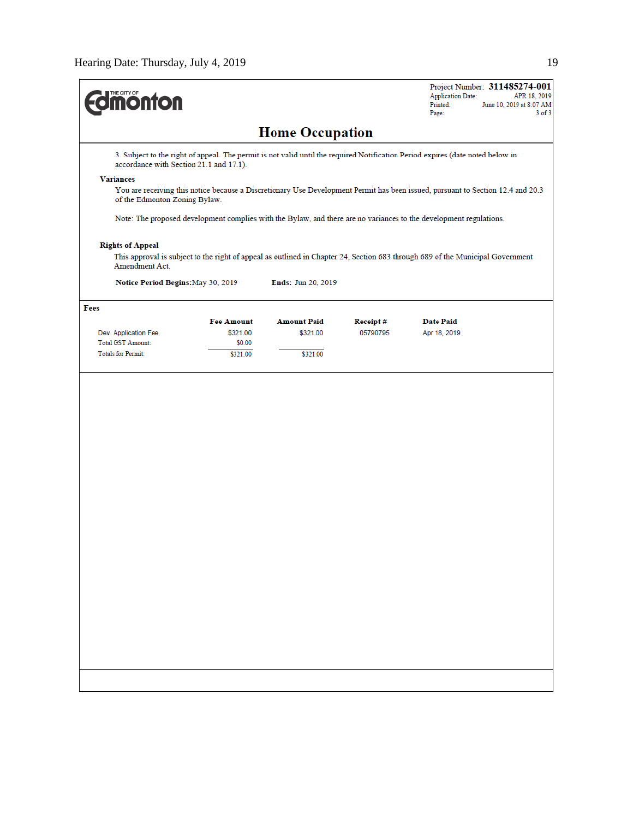| <b>Home Occupation</b><br>3. Subject to the right of appeal. The permit is not valid until the required Notification Period expires (date noted below in<br>accordance with Section 21.1 and 17.1).<br><b>Variances</b><br>You are receiving this notice because a Discretionary Use Development Permit has been issued, pursuant to Section 12.4 and 20.3<br>of the Edmonton Zoning Bylaw.<br>Note: The proposed development complies with the Bylaw, and there are no variances to the development regulations.<br><b>Rights of Appeal</b><br>This approval is subject to the right of appeal as outlined in Chapter 24, Section 683 through 689 of the Municipal Government<br>Amendment Act.<br>Notice Period Begins: May 30, 2019<br>Ends: Jun 20, 2019<br>Fees<br><b>Fee Amount</b><br><b>Amount Paid</b><br><b>Date Paid</b><br>Receipt#<br>\$321.00<br>\$321.00<br>05790795<br>Apr 18, 2019<br>Dev. Application Fee<br>Total GST Amount:<br>\$0.00<br><b>Totals for Permit:</b><br>\$321.00<br>\$321.00 | <b><i><u><u><b>M</b>onton</u></u></i></b> |  | Project Number: 311485274-001<br><b>Application Date:</b><br>APR 18, 2019<br>Printed:<br>June 10, 2019 at 8:07 AM<br>Page: | $3$ of $3$ |
|-----------------------------------------------------------------------------------------------------------------------------------------------------------------------------------------------------------------------------------------------------------------------------------------------------------------------------------------------------------------------------------------------------------------------------------------------------------------------------------------------------------------------------------------------------------------------------------------------------------------------------------------------------------------------------------------------------------------------------------------------------------------------------------------------------------------------------------------------------------------------------------------------------------------------------------------------------------------------------------------------------------------|-------------------------------------------|--|----------------------------------------------------------------------------------------------------------------------------|------------|
|                                                                                                                                                                                                                                                                                                                                                                                                                                                                                                                                                                                                                                                                                                                                                                                                                                                                                                                                                                                                                 |                                           |  |                                                                                                                            |            |
|                                                                                                                                                                                                                                                                                                                                                                                                                                                                                                                                                                                                                                                                                                                                                                                                                                                                                                                                                                                                                 |                                           |  |                                                                                                                            |            |
|                                                                                                                                                                                                                                                                                                                                                                                                                                                                                                                                                                                                                                                                                                                                                                                                                                                                                                                                                                                                                 |                                           |  |                                                                                                                            |            |
|                                                                                                                                                                                                                                                                                                                                                                                                                                                                                                                                                                                                                                                                                                                                                                                                                                                                                                                                                                                                                 |                                           |  |                                                                                                                            |            |
|                                                                                                                                                                                                                                                                                                                                                                                                                                                                                                                                                                                                                                                                                                                                                                                                                                                                                                                                                                                                                 |                                           |  |                                                                                                                            |            |
|                                                                                                                                                                                                                                                                                                                                                                                                                                                                                                                                                                                                                                                                                                                                                                                                                                                                                                                                                                                                                 |                                           |  |                                                                                                                            |            |
|                                                                                                                                                                                                                                                                                                                                                                                                                                                                                                                                                                                                                                                                                                                                                                                                                                                                                                                                                                                                                 |                                           |  |                                                                                                                            |            |
|                                                                                                                                                                                                                                                                                                                                                                                                                                                                                                                                                                                                                                                                                                                                                                                                                                                                                                                                                                                                                 |                                           |  |                                                                                                                            |            |
|                                                                                                                                                                                                                                                                                                                                                                                                                                                                                                                                                                                                                                                                                                                                                                                                                                                                                                                                                                                                                 |                                           |  |                                                                                                                            |            |